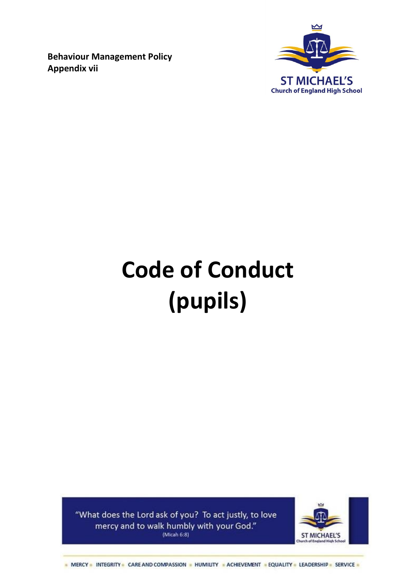**Behaviour Management Policy Appendix vii**



# **Code of Conduct (pupils)**

"What does the Lord ask of you? To act justly, to love mercy and to walk humbly with your God." (Micah  $6:8$ )



- MERCY - INTEGRITY - CARE AND COMPASSION - HUMILITY - ACHIEVEMENT - EQUALITY - LEADERSHIP - SERVICE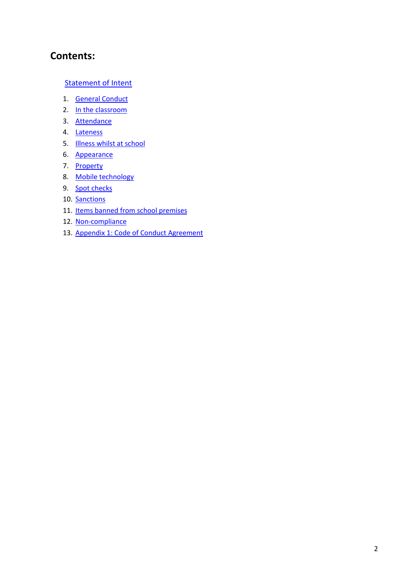# **Contents:**

#### **[Statement of Intent](#page-2-0)**

- 1. [General Conduct](#page-2-1)
- 2. [In the classroom](#page-3-0)
- 3. [Attendance](#page-3-1)
- 4. [Lateness](#page-4-0)
- 5. **[Illness whilst at school](#page-4-1)**
- 6. [Appearance](#page-4-2)
- 7. [Property](#page-4-3)
- 8. [Mobile technology](#page-4-4)
- 9. [Spot checks](#page-5-0)
- 10. [Sanctions](#page-5-1)
- 11. Items [banned from school premises](#page-5-2)
- 12. [Non-compliance](#page-6-0)
- 13. [Appendix 1: Code of Conduct Agreement](#page-7-0)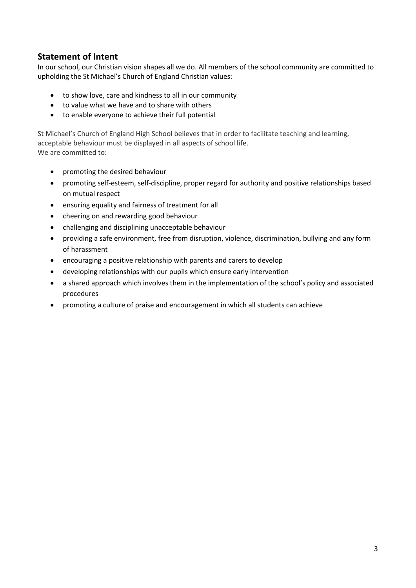## <span id="page-2-0"></span>**Statement of Intent**

In our school, our Christian vision shapes all we do. All members of the school community are committed to upholding the St Michael's Church of England Christian values:

- to show love, care and kindness to all in our community
- to value what we have and to share with others
- to enable everyone to achieve their full potential

St Michael's Church of England High School believes that in order to facilitate teaching and learning, acceptable behaviour must be displayed in all aspects of school life. We are committed to:

- promoting the desired behaviour
- promoting self-esteem, self-discipline, proper regard for authority and positive relationships based on mutual respect
- ensuring equality and fairness of treatment for all
- cheering on and rewarding good behaviour
- challenging and disciplining unacceptable behaviour
- providing a safe environment, free from disruption, violence, discrimination, bullying and any form of harassment
- encouraging a positive relationship with parents and carers to develop
- developing relationships with our pupils which ensure early intervention
- a shared approach which involves them in the implementation of the school's policy and associated procedures
- <span id="page-2-1"></span>promoting a culture of praise and encouragement in which all students can achieve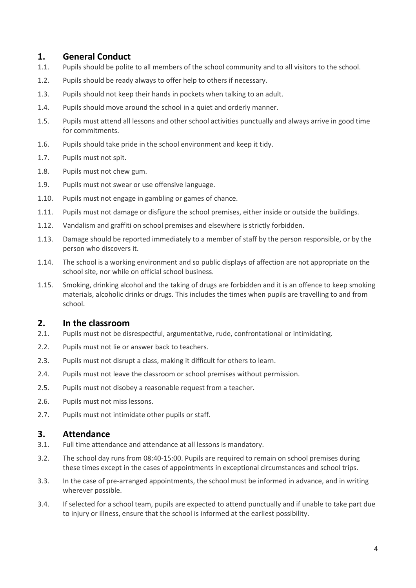## **1. General Conduct**

- 1.1. Pupils should be polite to all members of the school community and to all visitors to the school.
- 1.2. Pupils should be ready always to offer help to others if necessary.
- 1.3. Pupils should not keep their hands in pockets when talking to an adult.
- 1.4. Pupils should move around the school in a quiet and orderly manner.
- 1.5. Pupils must attend all lessons and other school activities punctually and always arrive in good time for commitments.
- 1.6. Pupils should take pride in the school environment and keep it tidy.
- 1.7. Pupils must not spit.
- 1.8. Pupils must not chew gum.
- 1.9. Pupils must not swear or use offensive language.
- 1.10. Pupils must not engage in gambling or games of chance.
- 1.11. Pupils must not damage or disfigure the school premises, either inside or outside the buildings.
- 1.12. Vandalism and graffiti on school premises and elsewhere is strictly forbidden.
- 1.13. Damage should be reported immediately to a member of staff by the person responsible, or by the person who discovers it.
- 1.14. The school is a working environment and so public displays of affection are not appropriate on the school site, nor while on official school business.
- 1.15. Smoking, drinking alcohol and the taking of drugs are forbidden and it is an offence to keep smoking materials, alcoholic drinks or drugs. This includes the times when pupils are travelling to and from school.

## <span id="page-3-0"></span>**2. In the classroom**

- 2.1. Pupils must not be disrespectful, argumentative, rude, confrontational or intimidating.
- 2.2. Pupils must not lie or answer back to teachers.
- 2.3. Pupils must not disrupt a class, making it difficult for others to learn.
- 2.4. Pupils must not leave the classroom or school premises without permission.
- 2.5. Pupils must not disobey a reasonable request from a teacher.
- 2.6. Pupils must not miss lessons.
- <span id="page-3-1"></span>2.7. Pupils must not intimidate other pupils or staff.

#### **3. Attendance**

- 3.1. Full time attendance and attendance at all lessons is mandatory.
- 3.2. The school day runs from 08:40-15:00. Pupils are required to remain on school premises during these times except in the cases of appointments in exceptional circumstances and school trips.
- 3.3. In the case of pre-arranged appointments, the school must be informed in advance, and in writing wherever possible.
- 3.4. If selected for a school team, pupils are expected to attend punctually and if unable to take part due to injury or illness, ensure that the school is informed at the earliest possibility.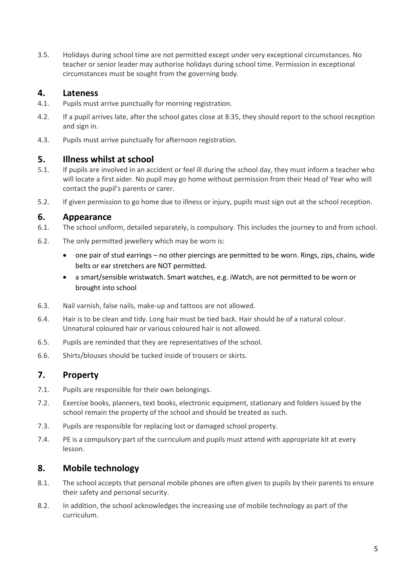3.5. Holidays during school time are not permitted except under very exceptional circumstances. No teacher or senior leader may authorise holidays during school time. Permission in exceptional circumstances must be sought from the governing body.

## <span id="page-4-0"></span>**4. Lateness**

- 4.1. Pupils must arrive punctually for morning registration.
- 4.2. If a pupil arrives late, after the school gates close at 8:35, they should report to the school reception and sign in.
- <span id="page-4-1"></span>4.3. Pupils must arrive punctually for afternoon registration.

#### **5. Illness whilst at school**

- 5.1. If pupils are involved in an accident or feel ill during the school day, they must inform a teacher who will locate a first aider. No pupil may go home without permission from their Head of Year who will contact the pupil's parents or carer.
- 5.2. If given permission to go home due to illness or injury, pupils must sign out at the school reception.

#### <span id="page-4-2"></span>**6. Appearance**

- 6.1. The school uniform, detailed separately, is compulsory. This includes the journey to and from school.
- 6.2. The only permitted jewellery which may be worn is:
	- one pair of stud earrings no other piercings are permitted to be worn. Rings, zips, chains, wide belts or ear stretchers are NOT permitted.
	- a smart/sensible wristwatch. Smart watches, e.g. iWatch, are not permitted to be worn or brought into school
- 6.3. Nail varnish, false nails, make-up and tattoos are not allowed.
- 6.4. Hair is to be clean and tidy. Long hair must be tied back. Hair should be of a natural colour. Unnatural coloured hair or various coloured hair is not allowed.
- 6.5. Pupils are reminded that they are representatives of the school.
- <span id="page-4-3"></span>6.6. Shirts/blouses should be tucked inside of trousers or skirts.

# **7. Property**

- 7.1. Pupils are responsible for their own belongings.
- 7.2. Exercise books, planners, text books, electronic equipment, stationary and folders issued by the school remain the property of the school and should be treated as such.
- 7.3. Pupils are responsible for replacing lost or damaged school property.
- 7.4. PE is a compulsory part of the curriculum and pupils must attend with appropriate kit at every lesson.

## <span id="page-4-4"></span>**8. Mobile technology**

- 8.1. The school accepts that personal mobile phones are often given to pupils by their parents to ensure their safety and personal security.
- 8.2. In addition, the school acknowledges the increasing use of mobile technology as part of the curriculum.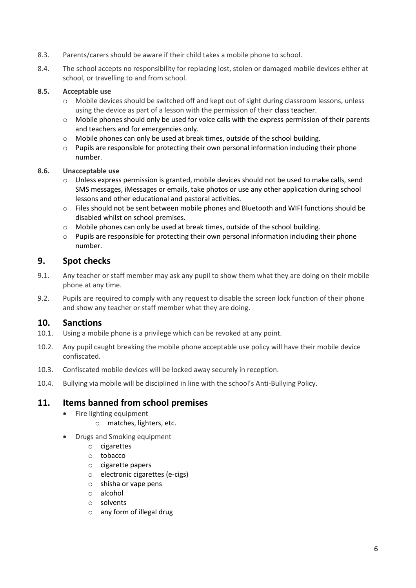- 8.3. Parents/carers should be aware if their child takes a mobile phone to school.
- 8.4. The school accepts no responsibility for replacing lost, stolen or damaged mobile devices either at school, or travelling to and from school.

#### **8.5. Acceptable use**

- o Mobile devices should be switched off and kept out of sight during classroom lessons, unless using the device as part of a lesson with the permission of their class teacher.
- $\circ$  Mobile phones should only be used for voice calls with the express permission of their parents and teachers and for emergencies only.
- o Mobile phones can only be used at break times, outside of the school building.
- o Pupils are responsible for protecting their own personal information including their phone number.

#### **8.6. Unacceptable use**

- $\circ$  Unless express permission is granted, mobile devices should not be used to make calls, send SMS messages, iMessages or emails, take photos or use any other application during school lessons and other educational and pastoral activities.
- o Files should not be sent between mobile phones and Bluetooth and WIFI functions should be disabled whilst on school premises.
- o Mobile phones can only be used at break times, outside of the school building.
- $\circ$  Pupils are responsible for protecting their own personal information including their phone number.

#### <span id="page-5-0"></span>**9. Spot checks**

- 9.1. Any teacher or staff member may ask any pupil to show them what they are doing on their mobile phone at any time.
- 9.2. Pupils are required to comply with any request to disable the screen lock function of their phone and show any teacher or staff member what they are doing.

#### <span id="page-5-1"></span>**10. Sanctions**

- 10.1. Using a mobile phone is a privilege which can be revoked at any point.
- 10.2. Any pupil caught breaking the mobile phone acceptable use policy will have their mobile device confiscated.
- 10.3. Confiscated mobile devices will be locked away securely in reception.
- <span id="page-5-2"></span>10.4. Bullying via mobile will be disciplined in line with the school's Anti-Bullying Policy.

#### **11. Items banned from school premises**

- Fire lighting equipment
	- o matches, lighters, etc.
- Drugs and Smoking equipment
	- o cigarettes
	- o tobacco
	- o cigarette papers
	- o electronic cigarettes (e-cigs)
	- o shisha or vape pens
	- o alcohol
	- o solvents
	- o any form of illegal drug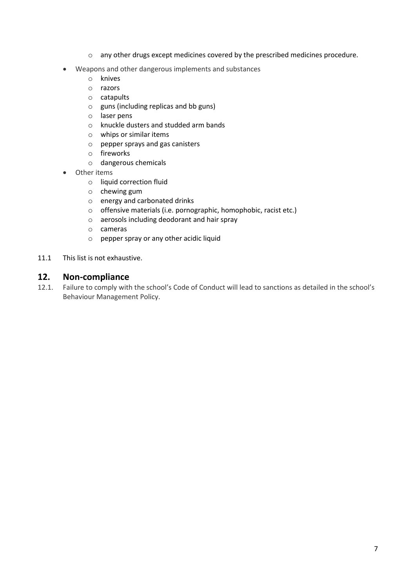- o any other drugs except medicines covered by the prescribed medicines procedure.
- Weapons and other dangerous implements and substances
	- o knives
	- o razors
	- o catapults
	- o guns (including replicas and bb guns)
	- o laser pens
	- o knuckle dusters and studded arm bands
	- o whips or similar items
	- o pepper sprays and gas canisters
	- o fireworks
	- o dangerous chemicals
- Other items
	- o liquid correction fluid
	- o chewing gum
	- o energy and carbonated drinks
	- o offensive materials (i.e. pornographic, homophobic, racist etc.)
	- o aerosols including deodorant and hair spray
	- o cameras
	- o pepper spray or any other acidic liquid
- <span id="page-6-0"></span>11.1 This list is not exhaustive.

#### **12. Non-compliance**

12.1. Failure to comply with the school's Code of Conduct will lead to sanctions as detailed in the school's Behaviour Management Policy.